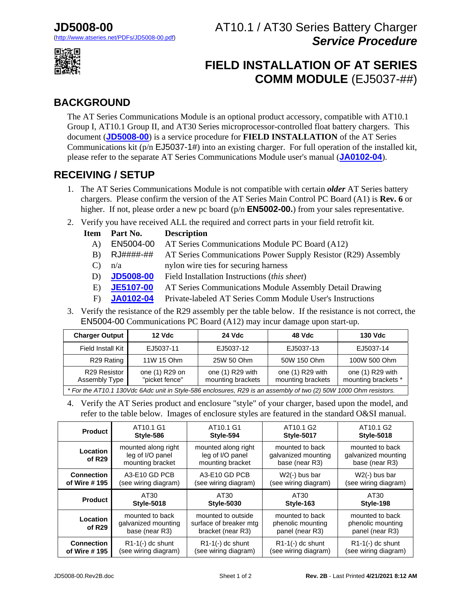# AT10.1 / AT30 Series Battery Charger *Service Procedure*



# **FIELD INSTALLATION OF AT SERIES COMM MODULE** (EJ5037-##)

### **BACKGROUND**

The AT Series Communications Module is an optional product accessory, compatible with AT10.1 Group I, AT10.1 Group II, and AT30 Series microprocessor-controlled float battery chargers. This document (**[JD5008-00](http://www.atseries.net/PDFs/JD5008-00.pdf)**) is a service procedure for **FIELD INSTALLATION** of the AT Series Communications kit (p/n EJ5037-1#) into an existing charger. For full operation of the installed kit, please refer to the separate AT Series Communications Module user's manual (**[JA0102-04](http://www.atseries.net/PDFs/JA0102-04.pdf)**).

#### **RECEIVING / SETUP**

- 1. The AT Series Communications Module is not compatible with certain *older* AT Series battery chargers. Please confirm the version of the AT Series Main Control PC Board (A1) is **Rev. 6** or higher. If not, please order a new pc board (p/n **EN5002-00.**) from your sales representative.
- 2. Verify you have received ALL the required and correct parts in your field retrofit kit.

| <b>Item</b> | Part No.         | <b>Description</b>                                            |
|-------------|------------------|---------------------------------------------------------------|
| A)          | EN5004-00        | AT Series Communications Module PC Board (A12)                |
| B)          | RJ####-##        | AT Series Communications Power Supply Resistor (R29) Assembly |
|             | n/a              | nylon wire ties for securing harness                          |
| D)          | <b>JD5008-00</b> | Field Installation Instructions <i>(this sheet)</i>           |
| E)          | <b>JE5107-00</b> | AT Series Communications Module Assembly Detail Drawing       |
| F).         | .JA0102-04       | Private-labeled AT Series Comm Module User's Instructions     |

3. Verify the resistance of the R29 assembly per the table below. If the resistance is not correct, the EN5004-00 Communications PC Board (A12) may incur damage upon start-up.

| <b>Charger Output</b>                                                                                            | <b>12 Vdc</b>                    | <b>24 Vdc</b>                         | 48 Vdc                                | <b>130 Vdc</b>                          |  |
|------------------------------------------------------------------------------------------------------------------|----------------------------------|---------------------------------------|---------------------------------------|-----------------------------------------|--|
| Field Install Kit                                                                                                | EJ5037-11                        | EJ5037-12                             | EJ5037-13                             | EJ5037-14                               |  |
| R <sub>29</sub> Rating                                                                                           | 11W 15 Ohm                       | 25W 50 Ohm                            | 50W 150 Ohm                           | 100W 500 Ohm                            |  |
| R29 Resistor<br>Assembly Type                                                                                    | one (1) R29 on<br>"picket fence" | one (1) R29 with<br>mounting brackets | one (1) R29 with<br>mounting brackets | one (1) R29 with<br>mounting brackets * |  |
| * For the AT10.1 130Vdc 6Adc unit in Style-586 enclosures, R29 is an assembly of two (2) 50W 1000 Ohm resistors. |                                  |                                       |                                       |                                         |  |

4. Verify the AT Series product and enclosure "style" of your charger, based upon the model, and refer to the table below. Images of enclosure styles are featured in the standard O&SI manual.

| <b>Product</b>                 | AT10.1 G1                                                   | AT10.1 G1                                                         | AT <sub>10.1</sub> G <sub>2</sub>                        | AT <sub>10.1</sub> G <sub>2</sub>                        |
|--------------------------------|-------------------------------------------------------------|-------------------------------------------------------------------|----------------------------------------------------------|----------------------------------------------------------|
|                                | Style-586                                                   | Style-594                                                         | <b>Style-5017</b>                                        | <b>Style-5018</b>                                        |
| Location<br>of R <sub>29</sub> | mounted along right<br>leg of I/O panel<br>mounting bracket | mounted along right<br>leg of I/O panel<br>mounting bracket       | mounted to back<br>galvanized mounting<br>base (near R3) | mounted to back<br>galvanized mounting<br>base (near R3) |
| <b>Connection</b>              | A3-E10 GD PCB                                               | A3-E10 GD PCB                                                     | $W2(-)$ bus bar                                          | $W2(-)$ bus bar                                          |
| of Wire #195                   | (see wiring diagram)                                        | (see wiring diagram)                                              | (see wiring diagram)                                     | (see wiring diagram)                                     |
|                                |                                                             |                                                                   |                                                          |                                                          |
| <b>Product</b>                 | AT30                                                        | AT30                                                              | AT30                                                     | AT30                                                     |
|                                | <b>Style-5018</b>                                           | <b>Style-5030</b>                                                 | Style-163                                                | Style-198                                                |
| Location<br>of $R29$           | mounted to back<br>galvanized mounting<br>base (near R3)    | mounted to outside<br>surface of breaker mtg<br>bracket (near R3) | mounted to back<br>phenolic mounting<br>panel (near R3)  | mounted to back<br>phenolic mounting<br>panel (near R3)  |